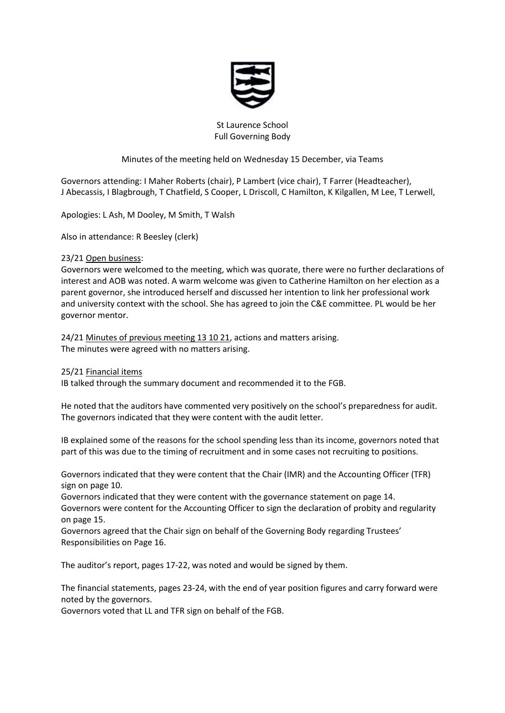

# St Laurence School Full Governing Body

# Minutes of the meeting held on Wednesday 15 December, via Teams

Governors attending: I Maher Roberts (chair), P Lambert (vice chair), T Farrer (Headteacher), J Abecassis, I Blagbrough, T Chatfield, S Cooper, L Driscoll, C Hamilton, K Kilgallen, M Lee, T Lerwell,

Apologies: L Ash, M Dooley, M Smith, T Walsh

Also in attendance: R Beesley (clerk)

# 23/21 Open business:

Governors were welcomed to the meeting, which was quorate, there were no further declarations of interest and AOB was noted. A warm welcome was given to Catherine Hamilton on her election as a parent governor, she introduced herself and discussed her intention to link her professional work and university context with the school. She has agreed to join the C&E committee. PL would be her governor mentor.

24/21 Minutes of previous meeting 13 10 21, actions and matters arising. The minutes were agreed with no matters arising.

25/21 Financial items

IB talked through the summary document and recommended it to the FGB.

He noted that the auditors have commented very positively on the school's preparedness for audit. The governors indicated that they were content with the audit letter.

IB explained some of the reasons for the school spending less than its income, governors noted that part of this was due to the timing of recruitment and in some cases not recruiting to positions.

Governors indicated that they were content that the Chair (IMR) and the Accounting Officer (TFR) sign on page 10.

Governors indicated that they were content with the governance statement on page 14. Governors were content for the Accounting Officer to sign the declaration of probity and regularity

on page 15.

Governors agreed that the Chair sign on behalf of the Governing Body regarding Trustees' Responsibilities on Page 16.

The auditor's report, pages 17-22, was noted and would be signed by them.

The financial statements, pages 23-24, with the end of year position figures and carry forward were noted by the governors.

Governors voted that LL and TFR sign on behalf of the FGB.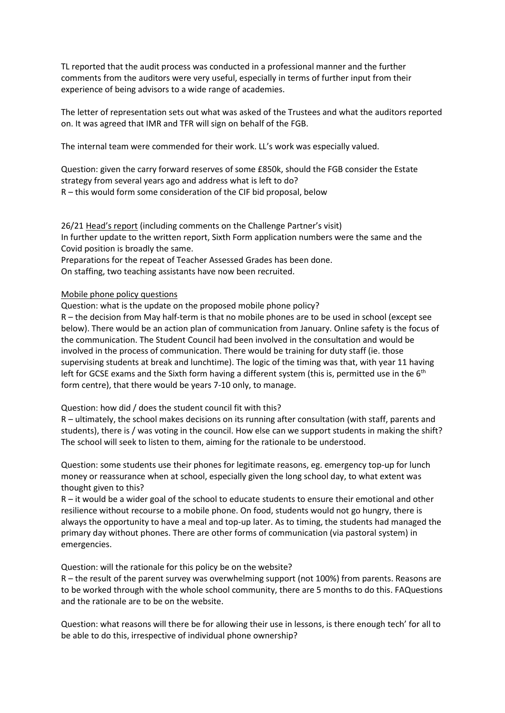TL reported that the audit process was conducted in a professional manner and the further comments from the auditors were very useful, especially in terms of further input from their experience of being advisors to a wide range of academies.

The letter of representation sets out what was asked of the Trustees and what the auditors reported on. It was agreed that IMR and TFR will sign on behalf of the FGB.

The internal team were commended for their work. LL's work was especially valued.

Question: given the carry forward reserves of some £850k, should the FGB consider the Estate strategy from several years ago and address what is left to do? R – this would form some consideration of the CIF bid proposal, below

26/21 Head's report (including comments on the Challenge Partner's visit) In further update to the written report, Sixth Form application numbers were the same and the Covid position is broadly the same.

Preparations for the repeat of Teacher Assessed Grades has been done.

On staffing, two teaching assistants have now been recruited.

#### Mobile phone policy questions

Question: what is the update on the proposed mobile phone policy?

R – the decision from May half-term is that no mobile phones are to be used in school (except see below). There would be an action plan of communication from January. Online safety is the focus of the communication. The Student Council had been involved in the consultation and would be involved in the process of communication. There would be training for duty staff (ie. those supervising students at break and lunchtime). The logic of the timing was that, with year 11 having left for GCSE exams and the Sixth form having a different system (this is, permitted use in the 6<sup>th</sup> form centre), that there would be years 7-10 only, to manage.

#### Question: how did / does the student council fit with this?

R – ultimately, the school makes decisions on its running after consultation (with staff, parents and students), there is / was voting in the council. How else can we support students in making the shift? The school will seek to listen to them, aiming for the rationale to be understood.

Question: some students use their phones for legitimate reasons, eg. emergency top-up for lunch money or reassurance when at school, especially given the long school day, to what extent was thought given to this?

R – it would be a wider goal of the school to educate students to ensure their emotional and other resilience without recourse to a mobile phone. On food, students would not go hungry, there is always the opportunity to have a meal and top-up later. As to timing, the students had managed the primary day without phones. There are other forms of communication (via pastoral system) in emergencies.

Question: will the rationale for this policy be on the website?

R – the result of the parent survey was overwhelming support (not 100%) from parents. Reasons are to be worked through with the whole school community, there are 5 months to do this. FAQuestions and the rationale are to be on the website.

Question: what reasons will there be for allowing their use in lessons, is there enough tech' for all to be able to do this, irrespective of individual phone ownership?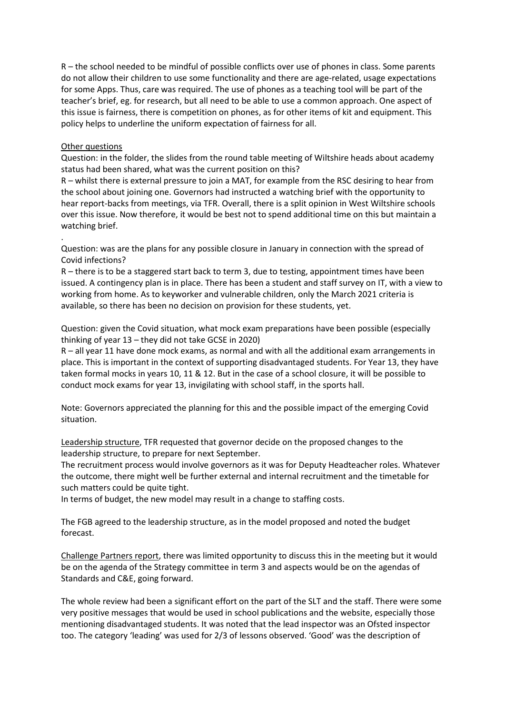R – the school needed to be mindful of possible conflicts over use of phones in class. Some parents do not allow their children to use some functionality and there are age-related, usage expectations for some Apps. Thus, care was required. The use of phones as a teaching tool will be part of the teacher's brief, eg. for research, but all need to be able to use a common approach. One aspect of this issue is fairness, there is competition on phones, as for other items of kit and equipment. This policy helps to underline the uniform expectation of fairness for all.

### Other questions

.

Question: in the folder, the slides from the round table meeting of Wiltshire heads about academy status had been shared, what was the current position on this?

R – whilst there is external pressure to join a MAT, for example from the RSC desiring to hear from the school about joining one. Governors had instructed a watching brief with the opportunity to hear report-backs from meetings, via TFR. Overall, there is a split opinion in West Wiltshire schools over this issue. Now therefore, it would be best not to spend additional time on this but maintain a watching brief.

Question: was are the plans for any possible closure in January in connection with the spread of Covid infections?

R – there is to be a staggered start back to term 3, due to testing, appointment times have been issued. A contingency plan is in place. There has been a student and staff survey on IT, with a view to working from home. As to keyworker and vulnerable children, only the March 2021 criteria is available, so there has been no decision on provision for these students, yet.

Question: given the Covid situation, what mock exam preparations have been possible (especially thinking of year 13 – they did not take GCSE in 2020)

R – all year 11 have done mock exams, as normal and with all the additional exam arrangements in place. This is important in the context of supporting disadvantaged students. For Year 13, they have taken formal mocks in years 10, 11 & 12. But in the case of a school closure, it will be possible to conduct mock exams for year 13, invigilating with school staff, in the sports hall.

Note: Governors appreciated the planning for this and the possible impact of the emerging Covid situation.

Leadership structure, TFR requested that governor decide on the proposed changes to the leadership structure, to prepare for next September.

The recruitment process would involve governors as it was for Deputy Headteacher roles. Whatever the outcome, there might well be further external and internal recruitment and the timetable for such matters could be quite tight.

In terms of budget, the new model may result in a change to staffing costs.

The FGB agreed to the leadership structure, as in the model proposed and noted the budget forecast.

Challenge Partners report, there was limited opportunity to discuss this in the meeting but it would be on the agenda of the Strategy committee in term 3 and aspects would be on the agendas of Standards and C&E, going forward.

The whole review had been a significant effort on the part of the SLT and the staff. There were some very positive messages that would be used in school publications and the website, especially those mentioning disadvantaged students. It was noted that the lead inspector was an Ofsted inspector too. The category 'leading' was used for 2/3 of lessons observed. 'Good' was the description of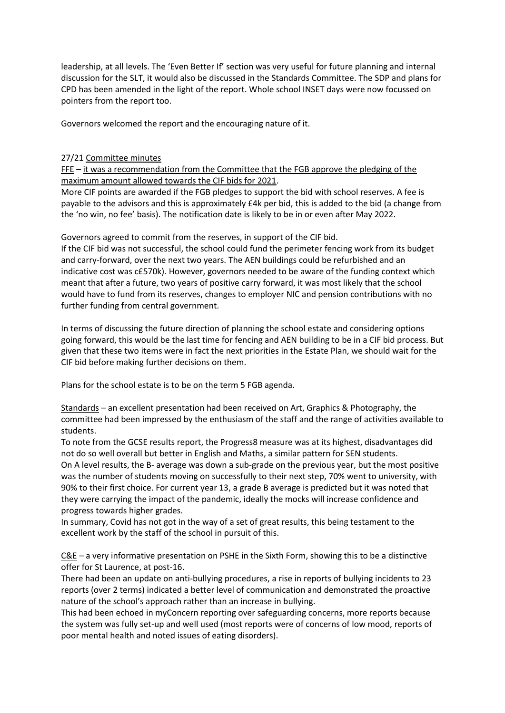leadership, at all levels. The 'Even Better If' section was very useful for future planning and internal discussion for the SLT, it would also be discussed in the Standards Committee. The SDP and plans for CPD has been amended in the light of the report. Whole school INSET days were now focussed on pointers from the report too.

Governors welcomed the report and the encouraging nature of it.

## 27/21 Committee minutes

 $FFE - it was a recommendation from the Committee that the FGB approach of the pledging of the$ maximum amount allowed towards the CIF bids for 2021.

More CIF points are awarded if the FGB pledges to support the bid with school reserves. A fee is payable to the advisors and this is approximately £4k per bid, this is added to the bid (a change from the 'no win, no fee' basis). The notification date is likely to be in or even after May 2022.

Governors agreed to commit from the reserves, in support of the CIF bid.

If the CIF bid was not successful, the school could fund the perimeter fencing work from its budget and carry-forward, over the next two years. The AEN buildings could be refurbished and an indicative cost was c£570k). However, governors needed to be aware of the funding context which meant that after a future, two years of positive carry forward, it was most likely that the school would have to fund from its reserves, changes to employer NIC and pension contributions with no further funding from central government.

In terms of discussing the future direction of planning the school estate and considering options going forward, this would be the last time for fencing and AEN building to be in a CIF bid process. But given that these two items were in fact the next priorities in the Estate Plan, we should wait for the CIF bid before making further decisions on them.

Plans for the school estate is to be on the term 5 FGB agenda.

Standards – an excellent presentation had been received on Art, Graphics & Photography, the committee had been impressed by the enthusiasm of the staff and the range of activities available to students.

To note from the GCSE results report, the Progress8 measure was at its highest, disadvantages did not do so well overall but better in English and Maths, a similar pattern for SEN students.

On A level results, the B- average was down a sub-grade on the previous year, but the most positive was the number of students moving on successfully to their next step, 70% went to university, with 90% to their first choice. For current year 13, a grade B average is predicted but it was noted that they were carrying the impact of the pandemic, ideally the mocks will increase confidence and progress towards higher grades.

In summary, Covid has not got in the way of a set of great results, this being testament to the excellent work by the staff of the school in pursuit of this.

C&E – a very informative presentation on PSHE in the Sixth Form, showing this to be a distinctive offer for St Laurence, at post-16.

There had been an update on anti-bullying procedures, a rise in reports of bullying incidents to 23 reports (over 2 terms) indicated a better level of communication and demonstrated the proactive nature of the school's approach rather than an increase in bullying.

This had been echoed in myConcern reporting over safeguarding concerns, more reports because the system was fully set-up and well used (most reports were of concerns of low mood, reports of poor mental health and noted issues of eating disorders).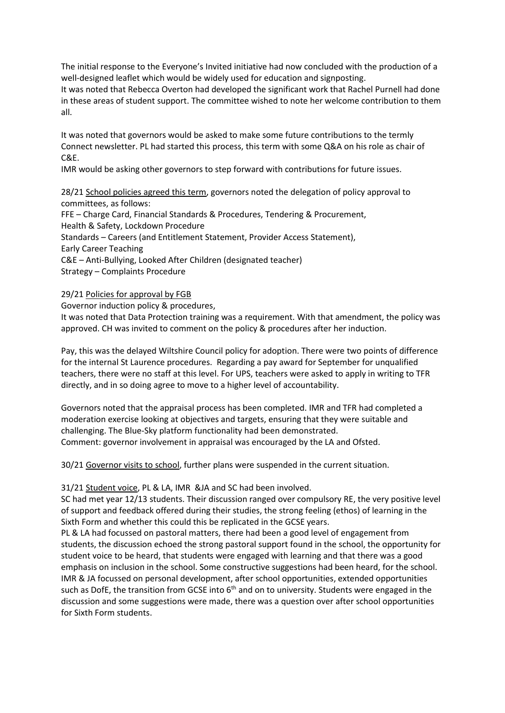The initial response to the Everyone's Invited initiative had now concluded with the production of a well-designed leaflet which would be widely used for education and signposting.

It was noted that Rebecca Overton had developed the significant work that Rachel Purnell had done in these areas of student support. The committee wished to note her welcome contribution to them all.

It was noted that governors would be asked to make some future contributions to the termly Connect newsletter. PL had started this process, this term with some Q&A on his role as chair of C&E.

IMR would be asking other governors to step forward with contributions for future issues.

28/21 School policies agreed this term, governors noted the delegation of policy approval to committees, as follows: FFE – Charge Card, Financial Standards & Procedures, Tendering & Procurement, Health & Safety, Lockdown Procedure Standards – Careers (and Entitlement Statement, Provider Access Statement), Early Career Teaching C&E – Anti-Bullying, Looked After Children (designated teacher) Strategy – Complaints Procedure

29/21 Policies for approval by FGB

Governor induction policy & procedures,

It was noted that Data Protection training was a requirement. With that amendment, the policy was approved. CH was invited to comment on the policy & procedures after her induction.

Pay, this was the delayed Wiltshire Council policy for adoption. There were two points of difference for the internal St Laurence procedures. Regarding a pay award for September for unqualified teachers, there were no staff at this level. For UPS, teachers were asked to apply in writing to TFR directly, and in so doing agree to move to a higher level of accountability.

Governors noted that the appraisal process has been completed. IMR and TFR had completed a moderation exercise looking at objectives and targets, ensuring that they were suitable and challenging. The Blue-Sky platform functionality had been demonstrated. Comment: governor involvement in appraisal was encouraged by the LA and Ofsted.

30/21 Governor visits to school, further plans were suspended in the current situation.

31/21 Student voice, PL & LA, IMR &JA and SC had been involved.

SC had met year 12/13 students. Their discussion ranged over compulsory RE, the very positive level of support and feedback offered during their studies, the strong feeling (ethos) of learning in the Sixth Form and whether this could this be replicated in the GCSE years.

PL & LA had focussed on pastoral matters, there had been a good level of engagement from students, the discussion echoed the strong pastoral support found in the school, the opportunity for student voice to be heard, that students were engaged with learning and that there was a good emphasis on inclusion in the school. Some constructive suggestions had been heard, for the school. IMR & JA focussed on personal development, after school opportunities, extended opportunities such as DofE, the transition from GCSE into  $6<sup>th</sup>$  and on to university. Students were engaged in the discussion and some suggestions were made, there was a question over after school opportunities for Sixth Form students.